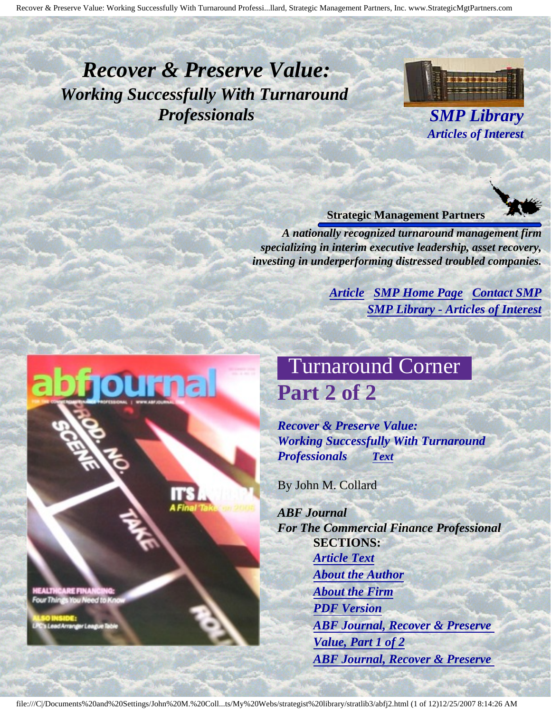# <span id="page-0-3"></span><span id="page-0-2"></span>*Recover & Preserve Value: Working Successfully With Turnaround Professionals SMP Library*



*Articles of Interest*

#### **Strategic Management Partners**

*A nationally recognized turnaround management firm specializing in interim executive leadership, asset recovery, investing in underperforming distressed troubled companies.*

> *[Article](#page-0-0) [SMP Home Page](http://members.aol.com/strategist/home.html#TOP) [Contact SMP](#page-10-0) [SMP Library - Articles of Interest](http://members.aol.com/stratlib3/libindx.html#TOP)*

# Turnaround Corner **Part 2 of 2**

*Recover & Preserve Value: Working Successfully With Turnaround Professionals [Text](#page-1-0)*

By John M. Collard

*ABF Journal For The Commercial Finance Professional* **SECTIONS:** *[Article Text](#page-1-0) [About the Author](#page-9-0) [About the Firm](#page-9-1) [PDF Version](http://members.aol.com/stratlib3/abfj2.pdf) [ABF Journal, Recover & Preserve](http://members.aol.com/stratlib3/abfj1.html) [Value, Part 1 of 2](http://members.aol.com/stratlib3/abfj1.html) [ABF Journal, Recover & Preserve](http://members.aol.com/stratlib3/abfj.html)* 

<span id="page-0-1"></span><span id="page-0-0"></span>CARE FINA

**Ir League Tab** 

file:///C|/Documents%20and%20Settings/John%20M.%20Coll...ts/My%20Webs/strategist%20library/stratlib3/abfj2.html (1 of 12)12/25/2007 8:14:26 AM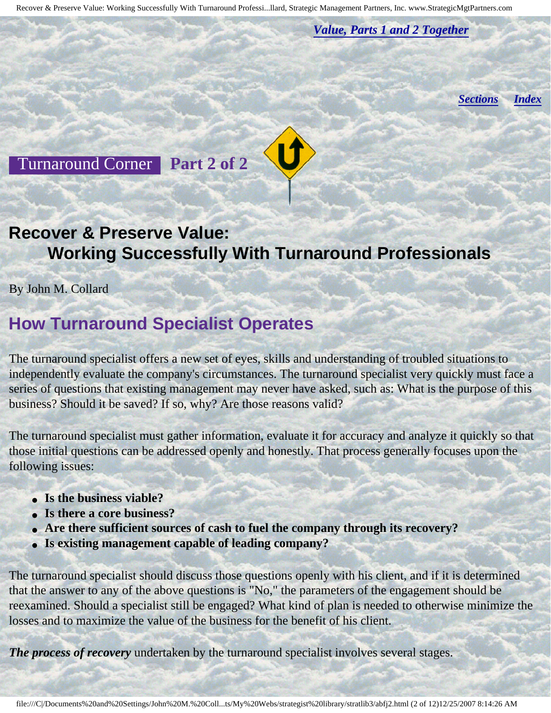*[Value, Parts 1 and 2 Together](http://members.aol.com/stratlib3/abfj.html)*

*[Sections](#page-0-1) [Index](#page-0-2)*

<span id="page-1-0"></span>Turnaround Corner **Part 2 of 2**

#### **Recover & Preserve Value: Working Successfully With Turnaround Professionals**

By John M. Collard

## **How Turnaround Specialist Operates**

The turnaround specialist offers a new set of eyes, skills and understanding of troubled situations to independently evaluate the company's circumstances. The turnaround specialist very quickly must face a series of questions that existing management may never have asked, such as: What is the purpose of this business? Should it be saved? If so, why? Are those reasons valid?

The turnaround specialist must gather information, evaluate it for accuracy and analyze it quickly so that those initial questions can be addressed openly and honestly. That process generally focuses upon the following issues:

- **Is the business viable?**
- **Is there a core business?**
- **Are there sufficient sources of cash to fuel the company through its recovery?**
- **Is existing management capable of leading company?**

The turnaround specialist should discuss those questions openly with his client, and if it is determined that the answer to any of the above questions is "No," the parameters of the engagement should be reexamined. Should a specialist still be engaged? What kind of plan is needed to otherwise minimize the losses and to maximize the value of the business for the benefit of his client.

*The process of recovery* undertaken by the turnaround specialist involves several stages.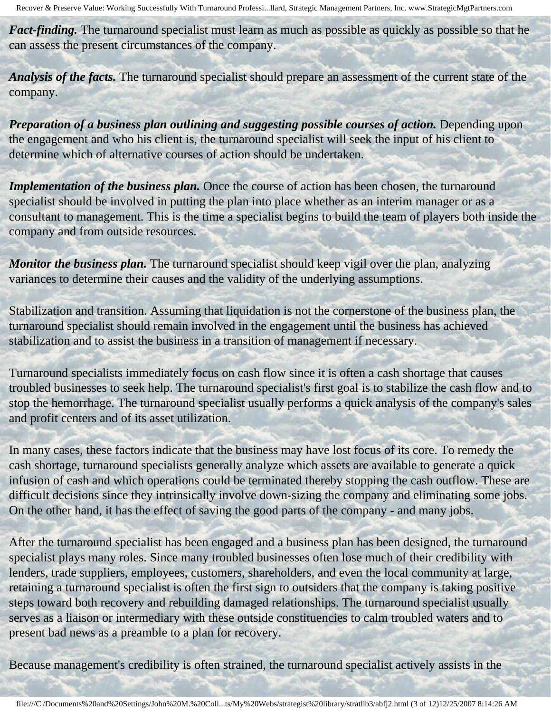*Fact-finding*. The turnaround specialist must learn as much as possible as quickly as possible so that he can assess the present circumstances of the company.

*Analysis of the facts.* The turnaround specialist should prepare an assessment of the current state of the company.

*Preparation of a business plan outlining and suggesting possible courses of action.* Depending upon the engagement and who his client is, the turnaround specialist will seek the input of his client to determine which of alternative courses of action should be undertaken.

*Implementation of the business plan.* Once the course of action has been chosen, the turnaround specialist should be involved in putting the plan into place whether as an interim manager or as a consultant to management. This is the time a specialist begins to build the team of players both inside the company and from outside resources.

*Monitor the business plan.* The turnaround specialist should keep vigil over the plan, analyzing variances to determine their causes and the validity of the underlying assumptions.

Stabilization and transition. Assuming that liquidation is not the cornerstone of the business plan, the turnaround specialist should remain involved in the engagement until the business has achieved stabilization and to assist the business in a transition of management if necessary.

Turnaround specialists immediately focus on cash flow since it is often a cash shortage that causes troubled businesses to seek help. The turnaround specialist's first goal is to stabilize the cash flow and to stop the hemorrhage. The turnaround specialist usually performs a quick analysis of the company's sales and profit centers and of its asset utilization.

In many cases, these factors indicate that the business may have lost focus of its core. To remedy the cash shortage, turnaround specialists generally analyze which assets are available to generate a quick infusion of cash and which operations could be terminated thereby stopping the cash outflow. These are difficult decisions since they intrinsically involve down-sizing the company and eliminating some jobs. On the other hand, it has the effect of saving the good parts of the company - and many jobs.

After the turnaround specialist has been engaged and a business plan has been designed, the turnaround specialist plays many roles. Since many troubled businesses often lose much of their credibility with lenders, trade suppliers, employees, customers, shareholders, and even the local community at large, retaining a turnaround specialist is often the first sign to outsiders that the company is taking positive steps toward both recovery and rebuilding damaged relationships. The turnaround specialist usually serves as a liaison or intermediary with these outside constituencies to calm troubled waters and to present bad news as a preamble to a plan for recovery.

Because management's credibility is often strained, the turnaround specialist actively assists in the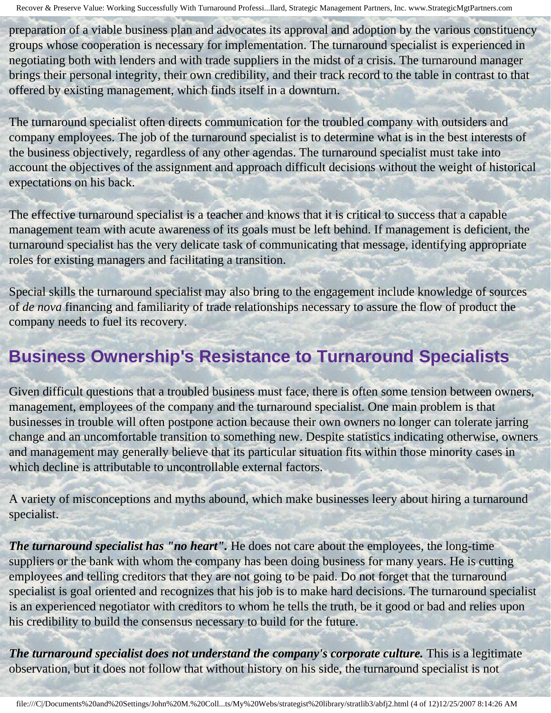preparation of a viable business plan and advocates its approval and adoption by the various constituency groups whose cooperation is necessary for implementation. The turnaround specialist is experienced in negotiating both with lenders and with trade suppliers in the midst of a crisis. The turnaround manager brings their personal integrity, their own credibility, and their track record to the table in contrast to that offered by existing management, which finds itself in a downturn.

The turnaround specialist often directs communication for the troubled company with outsiders and company employees. The job of the turnaround specialist is to determine what is in the best interests of the business objectively, regardless of any other agendas. The turnaround specialist must take into account the objectives of the assignment and approach difficult decisions without the weight of historical expectations on his back.

The effective turnaround specialist is a teacher and knows that it is critical to success that a capable management team with acute awareness of its goals must be left behind. If management is deficient, the turnaround specialist has the very delicate task of communicating that message, identifying appropriate roles for existing managers and facilitating a transition.

Special skills the turnaround specialist may also bring to the engagement include knowledge of sources of *de nova* financing and familiarity of trade relationships necessary to assure the flow of product the company needs to fuel its recovery.

# **Business Ownership's Resistance to Turnaround Specialists**

Given difficult questions that a troubled business must face, there is often some tension between owners, management, employees of the company and the turnaround specialist. One main problem is that businesses in trouble will often postpone action because their own owners no longer can tolerate jarring change and an uncomfortable transition to something new. Despite statistics indicating otherwise, owners and management may generally believe that its particular situation fits within those minority cases in which decline is attributable to uncontrollable external factors.

A variety of misconceptions and myths abound, which make businesses leery about hiring a turnaround specialist.

*The turnaround specialist has "no heart".* He does not care about the employees, the long-time suppliers or the bank with whom the company has been doing business for many years. He is cutting employees and telling creditors that they are not going to be paid. Do not forget that the turnaround specialist is goal oriented and recognizes that his job is to make hard decisions. The turnaround specialist is an experienced negotiator with creditors to whom he tells the truth, be it good or bad and relies upon his credibility to build the consensus necessary to build for the future.

*The turnaround specialist does not understand the company's corporate culture.* **This is a legitimate** observation, but it does not follow that without history on his side, the turnaround specialist is not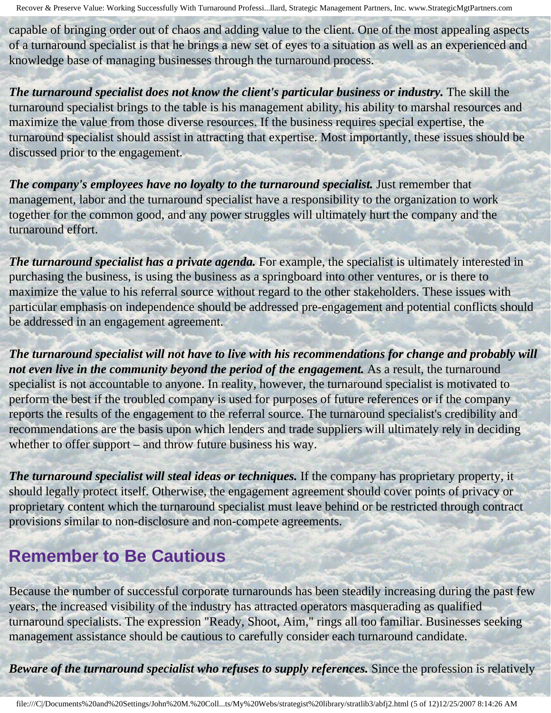capable of bringing order out of chaos and adding value to the client. One of the most appealing aspects of a turnaround specialist is that he brings a new set of eyes to a situation as well as an experienced and knowledge base of managing businesses through the turnaround process.

The turnaround specialist does not know the client's particular business or industry. The skill the turnaround specialist brings to the table is his management ability, his ability to marshal resources and maximize the value from those diverse resources. If the business requires special expertise, the turnaround specialist should assist in attracting that expertise. Most importantly, these issues should be discussed prior to the engagement.

*The company's employees have no loyalty to the turnaround specialist.* Just remember that management, labor and the turnaround specialist have a responsibility to the organization to work together for the common good, and any power struggles will ultimately hurt the company and the turnaround effort.

The turnaround specialist has a private agenda. For example, the specialist is ultimately interested in purchasing the business, is using the business as a springboard into other ventures, or is there to maximize the value to his referral source without regard to the other stakeholders. These issues with particular emphasis on independence should be addressed pre-engagement and potential conflicts should be addressed in an engagement agreement.

*The turnaround specialist will not have to live with his recommendations for change and probably will not even live in the community beyond the period of the engagement.* As a result, the turnaround specialist is not accountable to anyone. In reality, however, the turnaround specialist is motivated to perform the best if the troubled company is used for purposes of future references or if the company reports the results of the engagement to the referral source. The turnaround specialist's credibility and recommendations are the basis upon which lenders and trade suppliers will ultimately rely in deciding whether to offer support – and throw future business his way.

*The turnaround specialist will steal ideas or techniques.* If the company has proprietary property, it should legally protect itself. Otherwise, the engagement agreement should cover points of privacy or proprietary content which the turnaround specialist must leave behind or be restricted through contract provisions similar to non-disclosure and non-compete agreements.

#### **Remember to Be Cautious**

Because the number of successful corporate turnarounds has been steadily increasing during the past few years, the increased visibility of the industry has attracted operators masquerading as qualified turnaround specialists. The expression "Ready, Shoot, Aim," rings all too familiar. Businesses seeking management assistance should be cautious to carefully consider each turnaround candidate.

*Beware of the turnaround specialist who refuses to supply references.* Since the profession is relatively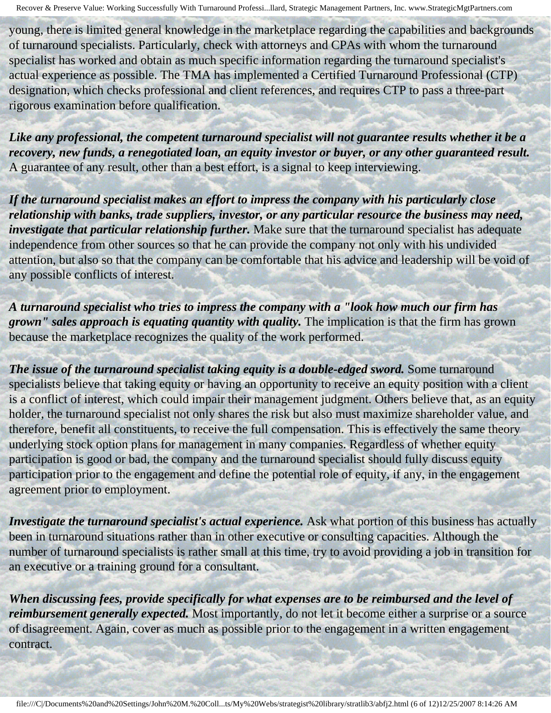young, there is limited general knowledge in the marketplace regarding the capabilities and backgrounds of turnaround specialists. Particularly, check with attorneys and CPAs with whom the turnaround specialist has worked and obtain as much specific information regarding the turnaround specialist's actual experience as possible. The TMA has implemented a Certified Turnaround Professional (CTP) designation, which checks professional and client references, and requires CTP to pass a three-part rigorous examination before qualification.

*Like any professional, the competent turnaround specialist will not guarantee results whether it be a recovery, new funds, a renegotiated loan, an equity investor or buyer, or any other guaranteed result.*  A guarantee of any result, other than a best effort, is a signal to keep interviewing.

*If the turnaround specialist makes an effort to impress the company with his particularly close relationship with banks, trade suppliers, investor, or any particular resource the business may need, investigate that particular relationship further.* Make sure that the turnaround specialist has adequate independence from other sources so that he can provide the company not only with his undivided attention, but also so that the company can be comfortable that his advice and leadership will be void of any possible conflicts of interest.

*A turnaround specialist who tries to impress the company with a "look how much our firm has grown" sales approach is equating quantity with quality.* The implication is that the firm has grown because the marketplace recognizes the quality of the work performed.

*The issue of the turnaround specialist taking equity is a double-edged sword.* **Some turnaround** specialists believe that taking equity or having an opportunity to receive an equity position with a client is a conflict of interest, which could impair their management judgment. Others believe that, as an equity holder, the turnaround specialist not only shares the risk but also must maximize shareholder value, and therefore, benefit all constituents, to receive the full compensation. This is effectively the same theory underlying stock option plans for management in many companies. Regardless of whether equity participation is good or bad, the company and the turnaround specialist should fully discuss equity participation prior to the engagement and define the potential role of equity, if any, in the engagement agreement prior to employment.

*Investigate the turnaround specialist's actual experience.* Ask what portion of this business has actually been in turnaround situations rather than in other executive or consulting capacities. Although the number of turnaround specialists is rather small at this time, try to avoid providing a job in transition for an executive or a training ground for a consultant.

*When discussing fees, provide specifically for what expenses are to be reimbursed and the level of reimbursement generally expected.* Most importantly, do not let it become either a surprise or a source of disagreement. Again, cover as much as possible prior to the engagement in a written engagement contract.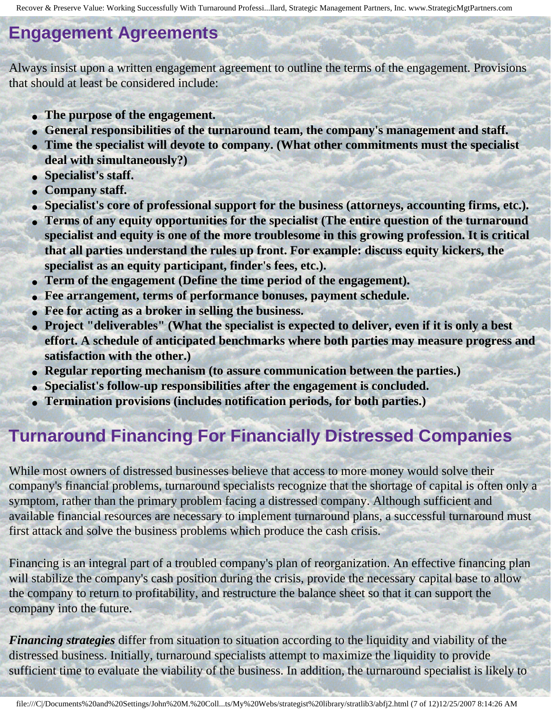#### **Engagement Agreements**

Always insist upon a written engagement agreement to outline the terms of the engagement. Provisions that should at least be considered include:

- **The purpose of the engagement.**
- **General responsibilities of the turnaround team, the company's management and staff.**
- **Time the specialist will devote to company. (What other commitments must the specialist deal with simultaneously?)**
- **Specialist's staff.**
- **Company staff.**
- Specialist's core of professional support for the business (attorneys, accounting firms, etc.).
- **Terms of any equity opportunities for the specialist (The entire question of the turnaround specialist and equity is one of the more troublesome in this growing profession. It is critical that all parties understand the rules up front. For example: discuss equity kickers, the specialist as an equity participant, finder's fees, etc.).**
- **Term of the engagement (Define the time period of the engagement).**
- **Fee arrangement, terms of performance bonuses, payment schedule.**
- **Fee for acting as a broker in selling the business.**
- **Project "deliverables" (What the specialist is expected to deliver, even if it is only a best effort. A schedule of anticipated benchmarks where both parties may measure progress and satisfaction with the other.)**
- **Regular reporting mechanism (to assure communication between the parties.)**
- **Specialist's follow-up responsibilities after the engagement is concluded.**
- **Termination provisions (includes notification periods, for both parties.)**

## **Turnaround Financing For Financially Distressed Companies**

While most owners of distressed businesses believe that access to more money would solve their company's financial problems, turnaround specialists recognize that the shortage of capital is often only a symptom, rather than the primary problem facing a distressed company. Although sufficient and available financial resources are necessary to implement turnaround plans, a successful turnaround must first attack and solve the business problems which produce the cash crisis.

Financing is an integral part of a troubled company's plan of reorganization. An effective financing plan will stabilize the company's cash position during the crisis, provide the necessary capital base to allow the company to return to profitability, and restructure the balance sheet so that it can support the company into the future.

*Financing strategies* differ from situation to situation according to the liquidity and viability of the distressed business. Initially, turnaround specialists attempt to maximize the liquidity to provide sufficient time to evaluate the viability of the business. In addition, the turnaround specialist is likely to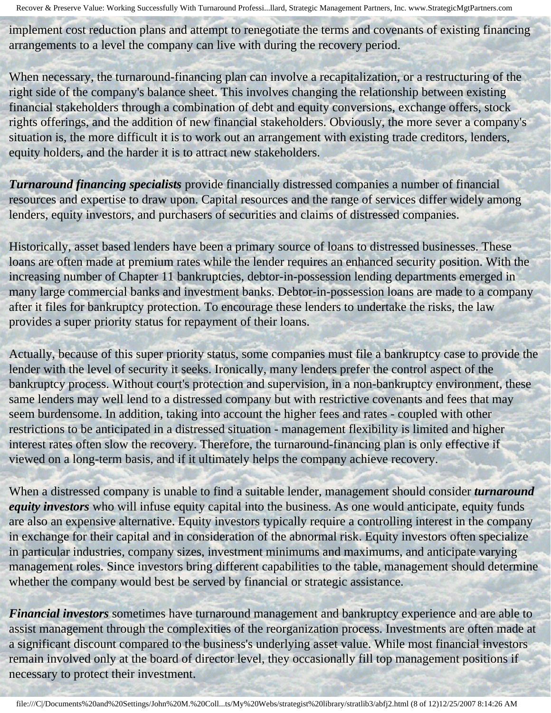implement cost reduction plans and attempt to renegotiate the terms and covenants of existing financing arrangements to a level the company can live with during the recovery period.

When necessary, the turnaround-financing plan can involve a recapitalization, or a restructuring of the right side of the company's balance sheet. This involves changing the relationship between existing financial stakeholders through a combination of debt and equity conversions, exchange offers, stock rights offerings, and the addition of new financial stakeholders. Obviously, the more sever a company's situation is, the more difficult it is to work out an arrangement with existing trade creditors, lenders, equity holders, and the harder it is to attract new stakeholders.

*Turnaround financing specialists* provide financially distressed companies a number of financial resources and expertise to draw upon. Capital resources and the range of services differ widely among lenders, equity investors, and purchasers of securities and claims of distressed companies.

Historically, asset based lenders have been a primary source of loans to distressed businesses. These loans are often made at premium rates while the lender requires an enhanced security position. With the increasing number of Chapter 11 bankruptcies, debtor-in-possession lending departments emerged in many large commercial banks and investment banks. Debtor-in-possession loans are made to a company after it files for bankruptcy protection. To encourage these lenders to undertake the risks, the law provides a super priority status for repayment of their loans.

Actually, because of this super priority status, some companies must file a bankruptcy case to provide the lender with the level of security it seeks. Ironically, many lenders prefer the control aspect of the bankruptcy process. Without court's protection and supervision, in a non-bankruptcy environment, these same lenders may well lend to a distressed company but with restrictive covenants and fees that may seem burdensome. In addition, taking into account the higher fees and rates - coupled with other restrictions to be anticipated in a distressed situation - management flexibility is limited and higher interest rates often slow the recovery. Therefore, the turnaround-financing plan is only effective if viewed on a long-term basis, and if it ultimately helps the company achieve recovery.

When a distressed company is unable to find a suitable lender, management should consider *turnaround equity investors* who will infuse equity capital into the business. As one would anticipate, equity funds are also an expensive alternative. Equity investors typically require a controlling interest in the company in exchange for their capital and in consideration of the abnormal risk. Equity investors often specialize in particular industries, company sizes, investment minimums and maximums, and anticipate varying management roles. Since investors bring different capabilities to the table, management should determine whether the company would best be served by financial or strategic assistance.

*Financial investors* sometimes have turnaround management and bankruptcy experience and are able to assist management through the complexities of the reorganization process. Investments are often made at a significant discount compared to the business's underlying asset value. While most financial investors remain involved only at the board of director level, they occasionally fill top management positions if necessary to protect their investment.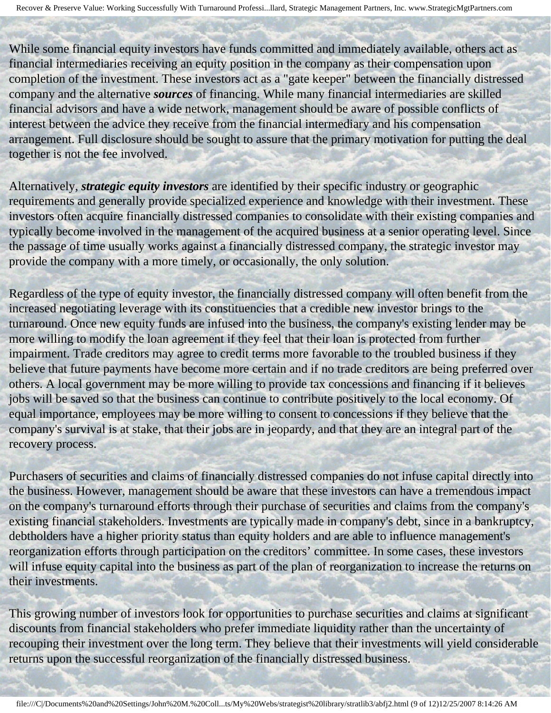While some financial equity investors have funds committed and immediately available, others act as financial intermediaries receiving an equity position in the company as their compensation upon completion of the investment. These investors act as a "gate keeper" between the financially distressed company and the alternative *sources* of financing. While many financial intermediaries are skilled financial advisors and have a wide network, management should be aware of possible conflicts of interest between the advice they receive from the financial intermediary and his compensation arrangement. Full disclosure should be sought to assure that the primary motivation for putting the deal together is not the fee involved.

Alternatively, *strategic equity investors* are identified by their specific industry or geographic requirements and generally provide specialized experience and knowledge with their investment. These investors often acquire financially distressed companies to consolidate with their existing companies and typically become involved in the management of the acquired business at a senior operating level. Since the passage of time usually works against a financially distressed company, the strategic investor may provide the company with a more timely, or occasionally, the only solution.

Regardless of the type of equity investor, the financially distressed company will often benefit from the increased negotiating leverage with its constituencies that a credible new investor brings to the turnaround. Once new equity funds are infused into the business, the company's existing lender may be more willing to modify the loan agreement if they feel that their loan is protected from further impairment. Trade creditors may agree to credit terms more favorable to the troubled business if they believe that future payments have become more certain and if no trade creditors are being preferred over others. A local government may be more willing to provide tax concessions and financing if it believes jobs will be saved so that the business can continue to contribute positively to the local economy. Of equal importance, employees may be more willing to consent to concessions if they believe that the company's survival is at stake, that their jobs are in jeopardy, and that they are an integral part of the recovery process.

Purchasers of securities and claims of financially distressed companies do not infuse capital directly into the business. However, management should be aware that these investors can have a tremendous impact on the company's turnaround efforts through their purchase of securities and claims from the company's existing financial stakeholders. Investments are typically made in company's debt, since in a bankruptcy, debtholders have a higher priority status than equity holders and are able to influence management's reorganization efforts through participation on the creditors' committee. In some cases, these investors will infuse equity capital into the business as part of the plan of reorganization to increase the returns on their investments.

This growing number of investors look for opportunities to purchase securities and claims at significant discounts from financial stakeholders who prefer immediate liquidity rather than the uncertainty of recouping their investment over the long term. They believe that their investments will yield considerable returns upon the successful reorganization of the financially distressed business.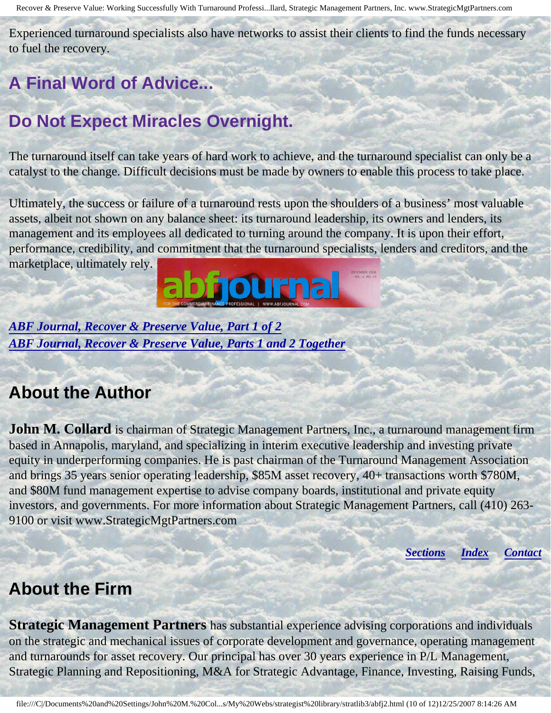Experienced turnaround specialists also have networks to assist their clients to find the funds necessary to fuel the recovery.

# **A Final Word of Advice...**

# **Do Not Expect Miracles Overnight.**

The turnaround itself can take years of hard work to achieve, and the turnaround specialist can only be a catalyst to the change. Difficult decisions must be made by owners to enable this process to take place.

Ultimately, the success or failure of a turnaround rests upon the shoulders of a business' most valuable assets, albeit not shown on any balance sheet: its turnaround leadership, its owners and lenders, its management and its employees all dedicated to turning around the company. It is upon their effort, performance, credibility, and commitment that the turnaround specialists, lenders and creditors, and the marketplace, ultimately rely.



*[ABF Journal, Recover & Preserve Value, Part 1 of 2](http://members.aol.com/stratlib3/abfj1.html) [ABF Journal, Recover & Preserve Value, Parts 1 and 2 Together](http://members.aol.com/stratlib3/abfj.html)*

#### <span id="page-9-0"></span>**About the Author**

**John M. Collard** is chairman of Strategic Management Partners, Inc., a turnaround management firm based in Annapolis, maryland, and specializing in interim executive leadership and investing private equity in underperforming companies. He is past chairman of the Turnaround Management Association and brings 35 years senior operating leadership, \$85M asset recovery, 40+ transactions worth \$780M, and \$80M fund management expertise to advise company boards, institutional and private equity investors, and governments. For more information about Strategic Management Partners, call (410) 263- 9100 or visit www.StrategicMgtPartners.com

*[Sections](#page-0-1) [Index](#page-0-2) [Contact](#page-10-0)*

#### <span id="page-9-1"></span>**About the Firm**

**Strategic Management Partners** has substantial experience advising corporations and individuals on the strategic and mechanical issues of corporate development and governance, operating management and turnarounds for asset recovery. Our principal has over 30 years experience in P/L Management, Strategic Planning and Repositioning, M&A for Strategic Advantage, Finance, Investing, Raising Funds,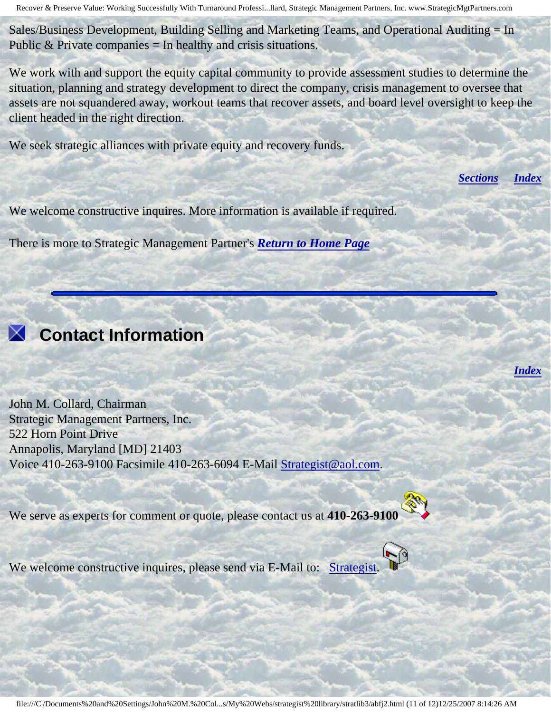Sales/Business Development, Building Selling and Marketing Teams, and Operational Auditing = In Public  $&$  Private companies = In healthy and crisis situations.

We work with and support the equity capital community to provide assessment studies to determine the situation, planning and strategy development to direct the company, crisis management to oversee that assets are not squandered away, workout teams that recover assets, and board level oversight to keep the client headed in the right direction.

We seek strategic alliances with private equity and recovery funds.

*[Sections](#page-0-1) [Index](#page-0-2)*

*[Index](#page-0-2)*

We welcome constructive inquires. More information is available if required.

There is more to Strategic Management Partner's *[Return to Home Page](http://members.aol.com/strategist/home.html#TOP)*



# <span id="page-10-0"></span> **Contact Information**

John M. Collard, Chairman Strategic Management Partners, Inc. 522 Horn Point Drive Annapolis, Maryland [MD] 21403 Voice 410-263-9100 Facsimile 410-263-6094 E-Mail [Strategist@aol.com](mailto:Strategist@aol.com?subject=SMPlibrary/feature articles).

We serve as experts for comment or quote, please contact us at **410-263-9100** 



We welcome constructive inquires, please send via E-Mail to: [Strategist.](mailto:Strategist@aol.com?subject=SMPlibrary/feature articles)